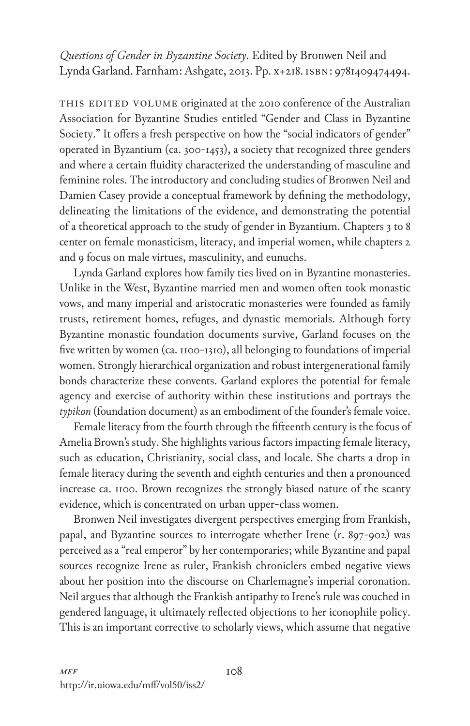*Questions of Gender in Byzantine Society*. Edited by Bronwen Neil and Lynda Garland. Farnham: Ashgate, 2013. Pp. x+218. isbn: 9781409474494.

THIS EDITED VOLUME originated at the 2010 conference of the Australian Association for Byzantine Studies entitled "Gender and Class in Byzantine Society." It offers a fresh perspective on how the "social indicators of gender" operated in Byzantium (ca. 300-1453), a society that recognized three genders and where a certain fluidity characterized the understanding of masculine and feminine roles. The introductory and concluding studies of Bronwen Neil and Damien Casey provide a conceptual framework by defining the methodology, delineating the limitations of the evidence, and demonstrating the potential of a theoretical approach to the study of gender in Byzantium. Chapters 3 to 8 center on female monasticism, literacy, and imperial women, while chapters 2 and 9 focus on male virtues, masculinity, and eunuchs.

Lynda Garland explores how family ties lived on in Byzantine monasteries. Unlike in the West, Byzantine married men and women often took monastic vows, and many imperial and aristocratic monasteries were founded as family trusts, retirement homes, refuges, and dynastic memorials. Although forty Byzantine monastic foundation documents survive, Garland focuses on the five written by women (ca. 1100-1310), all belonging to foundations of imperial women. Strongly hierarchical organization and robust intergenerational family bonds characterize these convents. Garland explores the potential for female agency and exercise of authority within these institutions and portrays the *typikon* (foundation document) as an embodiment of the founder's female voice.

Female literacy from the fourth through the fifteenth century is the focus of Amelia Brown's study. She highlights various factors impacting female literacy, such as education, Christianity, social class, and locale. She charts a drop in female literacy during the seventh and eighth centuries and then a pronounced increase ca. 1100. Brown recognizes the strongly biased nature of the scanty evidence, which is concentrated on urban upper-class women.

Bronwen Neil investigates divergent perspectives emerging from Frankish, papal, and Byzantine sources to interrogate whether Irene (r. 897-902) was perceived as a "real emperor" by her contemporaries; while Byzantine and papal sources recognize Irene as ruler, Frankish chroniclers embed negative views about her position into the discourse on Charlemagne's imperial coronation. Neil argues that although the Frankish antipathy to Irene's rule was couched in gendered language, it ultimately reflected objections to her iconophile policy. This is an important corrective to scholarly views, which assume that negative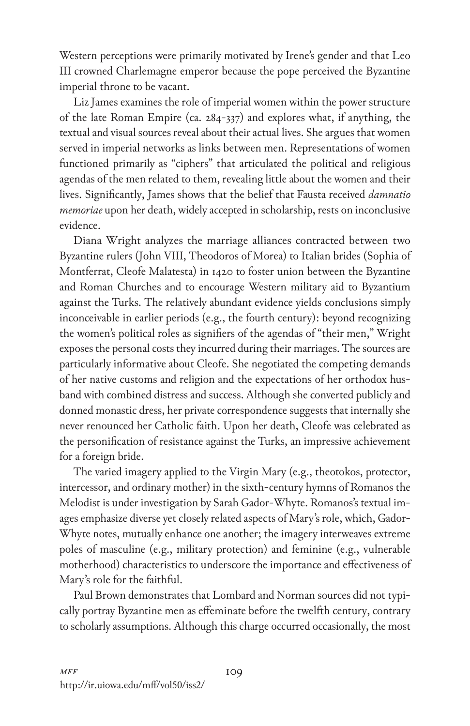Western perceptions were primarily motivated by Irene's gender and that Leo III crowned Charlemagne emperor because the pope perceived the Byzantine imperial throne to be vacant.

Liz James examines the role of imperial women within the power structure of the late Roman Empire (ca. 284-337) and explores what, if anything, the textual and visual sources reveal about their actual lives. She argues that women served in imperial networks as links between men. Representations of women functioned primarily as "ciphers" that articulated the political and religious agendas of the men related to them, revealing little about the women and their lives. Significantly, James shows that the belief that Fausta received *damnatio memoriae* upon her death, widely accepted in scholarship, rests on inconclusive evidence.

Diana Wright analyzes the marriage alliances contracted between two Byzantine rulers (John VIII, Theodoros of Morea) to Italian brides (Sophia of Montferrat, Cleofe Malatesta) in 1420 to foster union between the Byzantine and Roman Churches and to encourage Western military aid to Byzantium against the Turks. The relatively abundant evidence yields conclusions simply inconceivable in earlier periods (e.g., the fourth century): beyond recognizing the women's political roles as signifiers of the agendas of "their men," Wright exposes the personal costs they incurred during their marriages. The sources are particularly informative about Cleofe. She negotiated the competing demands of her native customs and religion and the expectations of her orthodox husband with combined distress and success. Although she converted publicly and donned monastic dress, her private correspondence suggests that internally she never renounced her Catholic faith. Upon her death, Cleofe was celebrated as the personification of resistance against the Turks, an impressive achievement for a foreign bride.

The varied imagery applied to the Virgin Mary (e.g., theotokos, protector, intercessor, and ordinary mother) in the sixth-century hymns of Romanos the Melodist is under investigation by Sarah Gador-Whyte. Romanos's textual images emphasize diverse yet closely related aspects of Mary's role, which, Gador-Whyte notes, mutually enhance one another; the imagery interweaves extreme poles of masculine (e.g., military protection) and feminine (e.g., vulnerable motherhood) characteristics to underscore the importance and effectiveness of Mary's role for the faithful.

Paul Brown demonstrates that Lombard and Norman sources did not typically portray Byzantine men as effeminate before the twelfth century, contrary to scholarly assumptions. Although this charge occurred occasionally, the most